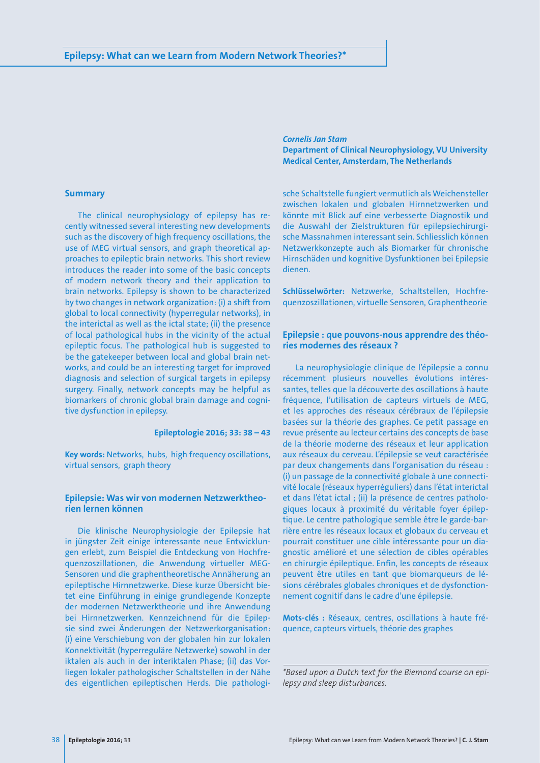### **Summary**

The clinical neurophysiology of epilepsy has recently witnessed several interesting new developments such as the discovery of high frequency oscillations, the use of MEG virtual sensors, and graph theoretical approaches to epileptic brain networks. This short review introduces the reader into some of the basic concepts of modern network theory and their application to brain networks. Epilepsy is shown to be characterized by two changes in network organization: (i) a shift from global to local connectivity (hyperregular networks), in the interictal as well as the ictal state; (ii) the presence of local pathological hubs in the vicinity of the actual epileptic focus. The pathological hub is suggested to be the gatekeeper between local and global brain networks, and could be an interesting target for improved diagnosis and selection of surgical targets in epilepsy surgery. Finally, network concepts may be helpful as biomarkers of chronic global brain damage and cognitive dysfunction in epilepsy.

## **Epileptologie 2016; 33: 38 – 43**

**Key words:** Networks, hubs, high frequency oscillations, virtual sensors, graph theory

# **Epilepsie: Was wir von modernen Netzwerktheorien lernen können**

Die klinische Neurophysiologie der Epilepsie hat in jüngster Zeit einige interessante neue Entwicklungen erlebt, zum Beispiel die Entdeckung von Hochfrequenzoszillationen, die Anwendung virtueller MEG-Sensoren und die graphentheoretische Annäherung an epileptische Hirnnetzwerke. Diese kurze Übersicht bietet eine Einführung in einige grundlegende Konzepte der modernen Netzwerktheorie und ihre Anwendung bei Hirnnetzwerken. Kennzeichnend für die Epilepsie sind zwei Änderungen der Netzwerkorganisation: (i) eine Verschiebung von der globalen hin zur lokalen Konnektivität (hyperreguläre Netzwerke) sowohl in der iktalen als auch in der interiktalen Phase; (ii) das Vorliegen lokaler pathologischer Schaltstellen in der Nähe des eigentlichen epileptischen Herds. Die pathologi*Cornelis Jan Stam* **Department of Clinical Neurophysiology, VU University Medical Center, Amsterdam, The Netherlands**

sche Schaltstelle fungiert vermutlich als Weichensteller zwischen lokalen und globalen Hirnnetzwerken und könnte mit Blick auf eine verbesserte Diagnostik und die Auswahl der Zielstrukturen für epilepsiechirurgische Massnahmen interessant sein. Schliesslich können Netzwerkkonzepte auch als Biomarker für chronische Hirnschäden und kognitive Dysfunktionen bei Epilepsie dienen.

**Schlüsselwörter:** Netzwerke, Schaltstellen, Hochfrequenzoszillationen, virtuelle Sensoren, Graphentheorie

# **Epilepsie : que pouvons-nous apprendre des théories modernes des réseaux ?**

La neurophysiologie clinique de l'épilepsie a connu récemment plusieurs nouvelles évolutions intéressantes, telles que la découverte des oscillations à haute fréquence, l'utilisation de capteurs virtuels de MEG, et les approches des réseaux cérébraux de l'épilepsie basées sur la théorie des graphes. Ce petit passage en revue présente au lecteur certains des concepts de base de la théorie moderne des réseaux et leur application aux réseaux du cerveau. L'épilepsie se veut caractérisée par deux changements dans l'organisation du réseau : (i) un passage de la connectivité globale à une connectivité locale (réseaux hyperréguliers) dans l'état interictal et dans l'état ictal ; (ii) la présence de centres pathologiques locaux à proximité du véritable foyer épileptique. Le centre pathologique semble être le garde-barrière entre les réseaux locaux et globaux du cerveau et pourrait constituer une cible intéressante pour un diagnostic amélioré et une sélection de cibles opérables en chirurgie épileptique. Enfin, les concepts de réseaux peuvent être utiles en tant que biomarqueurs de lésions cérébrales globales chroniques et de dysfonctionnement cognitif dans le cadre d'une épilepsie.

**Mots-clés :** Réseaux, centres, oscillations à haute fréquence, capteurs virtuels, théorie des graphes

*\*Based upon a Dutch text for the Biemond course on epilepsy and sleep disturbances.*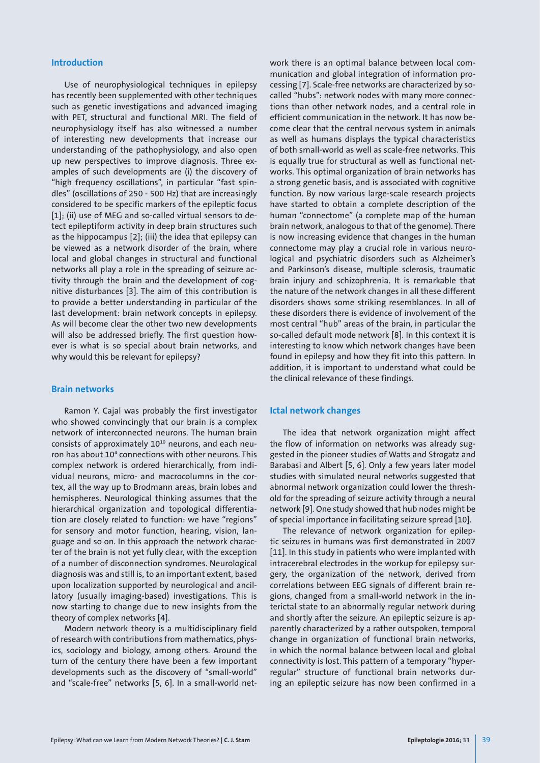#### **Introduction**

Use of neurophysiological techniques in epilepsy has recently been supplemented with other techniques such as genetic investigations and advanced imaging with PET, structural and functional MRI. The field of neurophysiology itself has also witnessed a number of interesting new developments that increase our understanding of the pathophysiology, and also open up new perspectives to improve diagnosis. Three examples of such developments are (i) the discovery of "high frequency oscillations", in particular "fast spindles" (oscillations of 250 - 500 Hz) that are increasingly considered to be specific markers of the epileptic focus [1]; (ii) use of MEG and so-called virtual sensors to detect epileptiform activity in deep brain structures such as the hippocampus [2]; (iii) the idea that epilepsy can be viewed as a network disorder of the brain, where local and global changes in structural and functional networks all play a role in the spreading of seizure activity through the brain and the development of cognitive disturbances [3]. The aim of this contribution is to provide a better understanding in particular of the last development: brain network concepts in epilepsy. As will become clear the other two new developments will also be addressed briefly. The first question however is what is so special about brain networks, and why would this be relevant for epilepsy?

#### **Brain networks**

Ramon Y. Cajal was probably the first investigator who showed convincingly that our brain is a complex network of interconnected neurons. The human brain consists of approximately  $10^{10}$  neurons, and each neuron has about 104 connections with other neurons. This complex network is ordered hierarchically, from individual neurons, micro- and macrocolumns in the cortex, all the way up to Brodmann areas, brain lobes and hemispheres. Neurological thinking assumes that the hierarchical organization and topological differentiation are closely related to function: we have "regions" for sensory and motor function, hearing, vision, language and so on. In this approach the network character of the brain is not yet fully clear, with the exception of a number of disconnection syndromes. Neurological diagnosis was and still is, to an important extent, based upon localization supported by neurological and ancillatory (usually imaging-based) investigations. This is now starting to change due to new insights from the theory of complex networks [4].

Modern network theory is a multidisciplinary field of research with contributions from mathematics, physics, sociology and biology, among others. Around the turn of the century there have been a few important developments such as the discovery of "small-world" and "scale-free" networks [5, 6]. In a small-world network there is an optimal balance between local communication and global integration of information processing [7]. Scale-free networks are characterized by socalled "hubs": network nodes with many more connections than other network nodes, and a central role in efficient communication in the network. It has now become clear that the central nervous system in animals as well as humans displays the typical characteristics of both small-world as well as scale-free networks. This is equally true for structural as well as functional networks. This optimal organization of brain networks has a strong genetic basis, and is associated with cognitive function. By now various large-scale research projects have started to obtain a complete description of the human "connectome" (a complete map of the human brain network, analogous to that of the genome). There is now increasing evidence that changes in the human connectome may play a crucial role in various neurological and psychiatric disorders such as Alzheimer's and Parkinson's disease, multiple sclerosis, traumatic brain injury and schizophrenia. It is remarkable that the nature of the network changes in all these different disorders shows some striking resemblances. In all of these disorders there is evidence of involvement of the most central "hub" areas of the brain, in particular the so-called default mode network [8]. In this context it is interesting to know which network changes have been found in epilepsy and how they fit into this pattern. In addition, it is important to understand what could be the clinical relevance of these findings.

## **Ictal network changes**

The idea that network organization might affect the flow of information on networks was already suggested in the pioneer studies of Watts and Strogatz and Barabasi and Albert [5, 6]. Only a few years later model studies with simulated neural networks suggested that abnormal network organization could lower the threshold for the spreading of seizure activity through a neural network [9]. One study showed that hub nodes might be of special importance in facilitating seizure spread [10].

The relevance of network organization for epileptic seizures in humans was first demonstrated in 2007 [11]. In this study in patients who were implanted with intracerebral electrodes in the workup for epilepsy surgery, the organization of the network, derived from correlations between EEG signals of different brain regions, changed from a small-world network in the interictal state to an abnormally regular network during and shortly after the seizure. An epileptic seizure is apparently characterized by a rather outspoken, temporal change in organization of functional brain networks, in which the normal balance between local and global connectivity is lost. This pattern of a temporary "hyperregular" structure of functional brain networks during an epileptic seizure has now been confirmed in a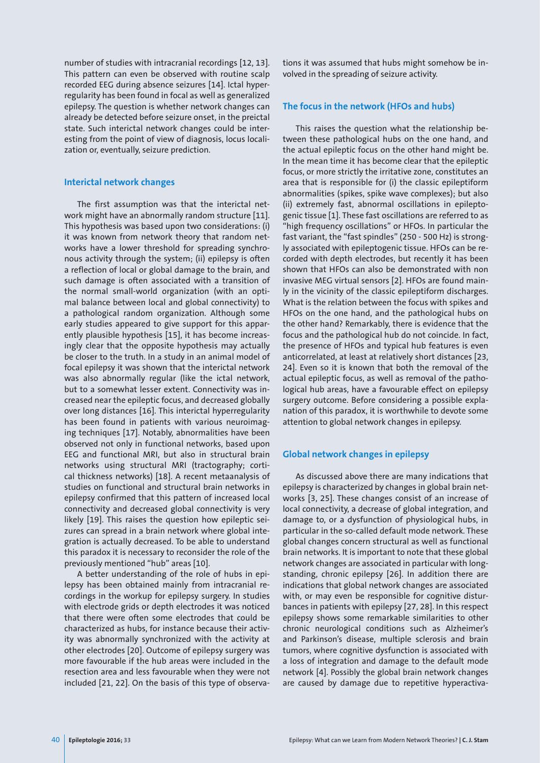number of studies with intracranial recordings [12, 13]. This pattern can even be observed with routine scalp recorded EEG during absence seizures [14]. Ictal hyperregularity has been found in focal as well as generalized epilepsy. The question is whether network changes can already be detected before seizure onset, in the preictal state. Such interictal network changes could be interesting from the point of view of diagnosis, locus localization or, eventually, seizure prediction.

### **Interictal network changes**

The first assumption was that the interictal network might have an abnormally random structure [11]. This hypothesis was based upon two considerations: (i) it was known from network theory that random networks have a lower threshold for spreading synchronous activity through the system; (ii) epilepsy is often a reflection of local or global damage to the brain, and such damage is often associated with a transition of the normal small-world organization (with an optimal balance between local and global connectivity) to a pathological random organization. Although some early studies appeared to give support for this apparently plausible hypothesis [15], it has become increasingly clear that the opposite hypothesis may actually be closer to the truth. In a study in an animal model of focal epilepsy it was shown that the interictal network was also abnormally regular (like the ictal network, but to a somewhat lesser extent. Connectivity was increased near the epileptic focus, and decreased globally over long distances [16]. This interictal hyperregularity has been found in patients with various neuroimaging techniques [17]. Notably, abnormalities have been observed not only in functional networks, based upon EEG and functional MRI, but also in structural brain networks using structural MRI (tractography; cortical thickness networks) [18]. A recent metaanalysis of studies on functional and structural brain networks in epilepsy confirmed that this pattern of increased local connectivity and decreased global connectivity is very likely [19]. This raises the question how epileptic seizures can spread in a brain network where global integration is actually decreased. To be able to understand this paradox it is necessary to reconsider the role of the previously mentioned "hub" areas [10].

A better understanding of the role of hubs in epilepsy has been obtained mainly from intracranial recordings in the workup for epilepsy surgery. In studies with electrode grids or depth electrodes it was noticed that there were often some electrodes that could be characterized as hubs, for instance because their activity was abnormally synchronized with the activity at other electrodes [20]. Outcome of epilepsy surgery was more favourable if the hub areas were included in the resection area and less favourable when they were not included [21, 22]. On the basis of this type of observations it was assumed that hubs might somehow be involved in the spreading of seizure activity.

## **The focus in the network (HFOs and hubs)**

This raises the question what the relationship between these pathological hubs on the one hand, and the actual epileptic focus on the other hand might be. In the mean time it has become clear that the epileptic focus, or more strictly the irritative zone, constitutes an area that is responsible for (i) the classic epileptiform abnormalities (spikes, spike wave complexes); but also (ii) extremely fast, abnormal oscillations in epileptogenic tissue [1]. These fast oscillations are referred to as "high frequency oscillations" or HFOs. In particular the fast variant, the "fast spindles" (250 - 500 Hz) is strongly associated with epileptogenic tissue. HFOs can be recorded with depth electrodes, but recently it has been shown that HFOs can also be demonstrated with non invasive MEG virtual sensors [2]. HFOs are found mainly in the vicinity of the classic epileptiform discharges. What is the relation between the focus with spikes and HFOs on the one hand, and the pathological hubs on the other hand? Remarkably, there is evidence that the focus and the pathological hub do not coincide. In fact, the presence of HFOs and typical hub features is even anticorrelated, at least at relatively short distances [23, 24]. Even so it is known that both the removal of the actual epileptic focus, as well as removal of the pathological hub areas, have a favourable effect on epilepsy surgery outcome. Before considering a possible explanation of this paradox, it is worthwhile to devote some attention to global network changes in epilepsy.

## **Global network changes in epilepsy**

As discussed above there are many indications that epilepsy is characterized by changes in global brain networks [3, 25]. These changes consist of an increase of local connectivity, a decrease of global integration, and damage to, or a dysfunction of physiological hubs, in particular in the so-called default mode network. These global changes concern structural as well as functional brain networks. It is important to note that these global network changes are associated in particular with longstanding, chronic epilepsy [26]. In addition there are indications that global network changes are associated with, or may even be responsible for cognitive disturbances in patients with epilepsy [27, 28]. In this respect epilepsy shows some remarkable similarities to other chronic neurological conditions such as Alzheimer's and Parkinson's disease, multiple sclerosis and brain tumors, where cognitive dysfunction is associated with a loss of integration and damage to the default mode network [4]. Possibly the global brain network changes are caused by damage due to repetitive hyperactiva-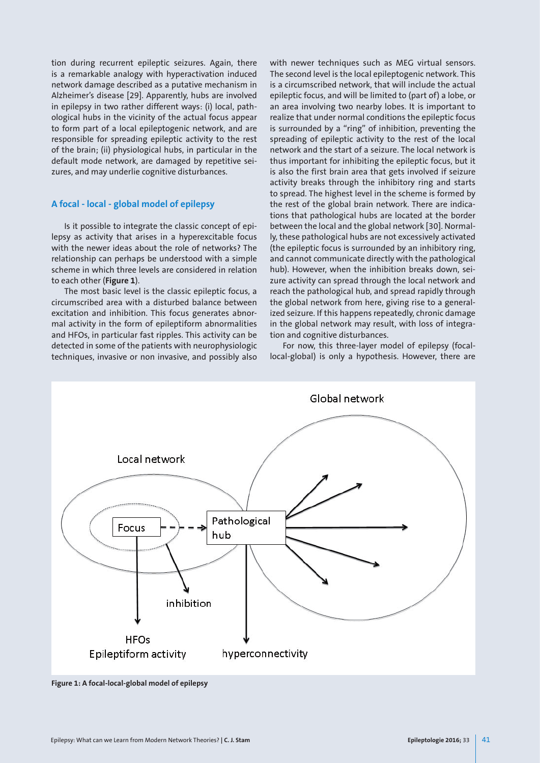tion during recurrent epileptic seizures. Again, there is a remarkable analogy with hyperactivation induced network damage described as a putative mechanism in Alzheimer's disease [29]. Apparently, hubs are involved in epilepsy in two rather different ways: (i) local, pathological hubs in the vicinity of the actual focus appear to form part of a local epileptogenic network, and are responsible for spreading epileptic activity to the rest of the brain; (ii) physiological hubs, in particular in the default mode network, are damaged by repetitive seizures, and may underlie cognitive disturbances.

## **A focal - local - global model of epilepsy**

Is it possible to integrate the classic concept of epilepsy as activity that arises in a hyperexcitable focus with the newer ideas about the role of networks? The relationship can perhaps be understood with a simple scheme in which three levels are considered in relation to each other (**Figure 1**).

The most basic level is the classic epileptic focus, a circumscribed area with a disturbed balance between excitation and inhibition. This focus generates abnormal activity in the form of epileptiform abnormalities and HFOs, in particular fast ripples. This activity can be detected in some of the patients with neurophysiologic techniques, invasive or non invasive, and possibly also

with newer techniques such as MEG virtual sensors. The second level is the local epileptogenic network. This is a circumscribed network, that will include the actual epileptic focus, and will be limited to (part of) a lobe, or an area involving two nearby lobes. It is important to realize that under normal conditions the epileptic focus is surrounded by a "ring" of inhibition, preventing the spreading of epileptic activity to the rest of the local network and the start of a seizure. The local network is thus important for inhibiting the epileptic focus, but it is also the first brain area that gets involved if seizure activity breaks through the inhibitory ring and starts to spread. The highest level in the scheme is formed by the rest of the global brain network. There are indications that pathological hubs are located at the border between the local and the global network [30]. Normally, these pathological hubs are not excessively activated (the epileptic focus is surrounded by an inhibitory ring, and cannot communicate directly with the pathological hub). However, when the inhibition breaks down, seizure activity can spread through the local network and reach the pathological hub, and spread rapidly through the global network from here, giving rise to a generalized seizure. If this happens repeatedly, chronic damage in the global network may result, with loss of integration and cognitive disturbances.

For now, this three-layer model of epilepsy (focallocal-global) is only a hypothesis. However, there are



**Figure 1: A focal-local-global model of epilepsy**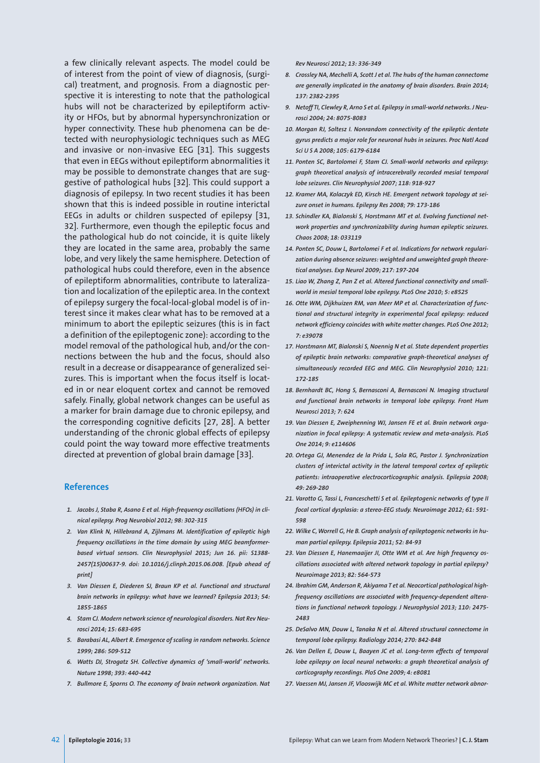a few clinically relevant aspects. The model could be of interest from the point of view of diagnosis, (surgical) treatment, and prognosis. From a diagnostic perspective it is interesting to note that the pathological hubs will not be characterized by epileptiform activity or HFOs, but by abnormal hypersynchronization or hyper connectivity. These hub phenomena can be detected with neurophysiologic techniques such as MEG and invasive or non-invasive EEG [31]. This suggests that even in EEGs without epileptiform abnormalities it may be possible to demonstrate changes that are suggestive of pathological hubs [32]. This could support a diagnosis of epilepsy. In two recent studies it has been shown that this is indeed possible in routine interictal EEGs in adults or children suspected of epilepsy [31, 32]. Furthermore, even though the epileptic focus and the pathological hub do not coincide, it is quite likely they are located in the same area, probably the same lobe, and very likely the same hemisphere. Detection of pathological hubs could therefore, even in the absence of epileptiform abnormalities, contribute to lateralization and localization of the epileptic area. In the context of epilepsy surgery the focal-local-global model is of interest since it makes clear what has to be removed at a minimum to abort the epileptic seizures (this is in fact a definition of the epileptogenic zone): according to the model removal of the pathological hub, and/or the connections between the hub and the focus, should also result in a decrease or disappearance of generalized seizures. This is important when the focus itself is located in or near eloquent cortex and cannot be removed safely. Finally, global network changes can be useful as a marker for brain damage due to chronic epilepsy, and the corresponding cognitive deficits [27, 28]. A better understanding of the chronic global effects of epilepsy could point the way toward more effective treatments directed at prevention of global brain damage [33].

#### **References**

- *1. Jacobs J, Staba R, Asano E et al. High-frequency oscillations (HFOs) in clinical epilepsy. Prog Neurobiol 2012; 98: 302-315*
- *2. Van Klink N, Hillebrand A, Zijlmans M. Identification of epileptic high frequency oscillations in the time domain by using MEG beamformerbased virtual sensors. Clin Neurophysiol 2015; Jun 16. pii: S1388- 2457(15)00637-9. doi: 10.1016/j.clinph.2015.06.008. [Epub ahead of print]*
- *3. Van Diessen E, Diederen SJ, Braun KP et al. Functional and structural brain networks in epilepsy: what have we learned? Epilepsia 2013; 54: 1855-1865*
- *4. Stam CJ. Modern network science of neurological disorders. Nat Rev Neurosci 2014; 15: 683-695*
- *5. Barabasi AL, Albert R. Emergence of scaling in random networks. Science 1999; 286: 509-512*
- *6. Watts DJ, Strogatz SH. Collective dynamics of 'small-world' networks. Nature 1998; 393: 440-442*
- *7. Bullmore E, Sporns O. The economy of brain network organization. Nat*

*Rev Neurosci 2012; 13: 336-349*

- *8. Crossley NA, Mechelli A, Scott J et al. The hubs of the human connectome are generally implicated in the anatomy of brain disorders. Brain 2014; 137: 2382-2395*
- *9. Netoff TI, Clewley R, Arno S et al. Epilepsy in small-world networks. J Neurosci 2004; 24: 8075-8083*
- *10. Morgan RJ, Soltesz I. Nonrandom connectivity of the epileptic dentate gyrus predicts a major role for neuronal hubs in seizures. Proc Natl Acad Sci U S A 2008; 105: 6179-6184*
- *11. Ponten SC, Bartolomei F, Stam CJ. Small-world networks and epilepsy: graph theoretical analysis of intracerebrally recorded mesial temporal lobe seizures. Clin Neurophysiol 2007; 118: 918-927*
- *12. Kramer MA, Kolaczyk ED, Kirsch HE. Emergent network topology at seizure onset in humans. Epilepsy Res 2008; 79: 173-186*
- *13. Schindler KA, Bialonski S, Horstmann MT et al. Evolving functional network properties and synchronizability during human epileptic seizures. Chaos 2008; 18: 033119*
- *14. Ponten SC, Douw L, Bartolomei F et al. Indications for network regularization during absence seizures: weighted and unweighted graph theoretical analyses. Exp Neurol 2009; 217: 197-204*
- *15. Liao W, Zhang Z, Pan Z et al. Altered functional connectivity and smallworld in mesial temporal lobe epilepsy. PLoS One 2010; 5: e8525*
- *16. Otte WM, Dijkhuizen RM, van Meer MP et al. Characterization of functional and structural integrity in experimental focal epilepsy: reduced network efficiency coincides with white matter changes. PLoS One 2012; 7: e39078*
- *17. Horstmann MT, Bialonski S, Noennig N et al. State dependent properties of epileptic brain networks: comparative graph-theoretical analyses of simultaneously recorded EEG and MEG. Clin Neurophysiol 2010; 121: 172-185*
- *18. Bernhardt BC, Hong S, Bernasconi A, Bernasconi N. Imaging structural and functional brain networks in temporal lobe epilepsy. Front Hum Neurosci 2013; 7: 624*
- *19. Van Diessen E, Zweiphenning WJ, Jansen FE et al. Brain network organization in focal epilepsy: A systematic review and meta-analysis. PLoS One 2014; 9: e114606*
- *20. Ortega GJ, Menendez de la Prida L, Sola RG, Pastor J. Synchronization clusters of interictal activity in the lateral temporal cortex of epileptic patients: intraoperative electrocorticographic analysis. Epilepsia 2008; 49: 269-280*
- *21. Varotto G, Tassi L, Franceschetti S et al. Epileptogenic networks of type II focal cortical dysplasia: a stereo-EEG study. Neuroimage 2012; 61: 591- 598*
- *22. Wilke C, Worrell G, He B. Graph analysis of epileptogenic networks in human partial epilepsy. Epilepsia 2011; 52: 84-93*
- *23. Van Diessen E, Hanemaaijer JI, Otte WM et al. Are high frequency oscillations associated with altered network topology in partial epilepsy? Neuroimage 2013; 82: 564-573*
- *24. Ibrahim GM, Anderson R, Akiyama T et al. Neocortical pathological highfrequency oscillations are associated with frequency-dependent alterations in functional network topology. J Neurophysiol 2013; 110: 2475- 2483*
- *25. DeSalvo MN, Douw L, Tanaka N et al. Altered structural connectome in temporal lobe epilepsy. Radiology 2014; 270: 842-848*
- 26. Van Dellen E, Douw L, Baayen JC et al. Long-term effects of temporal *lobe epilepsy on local neural networks: a graph theoretical analysis of corticography recordings. PloS One 2009; 4: e8081*
- *27. Vaessen MJ, Jansen JF, Vlooswijk MC et al. White matter network abnor-*